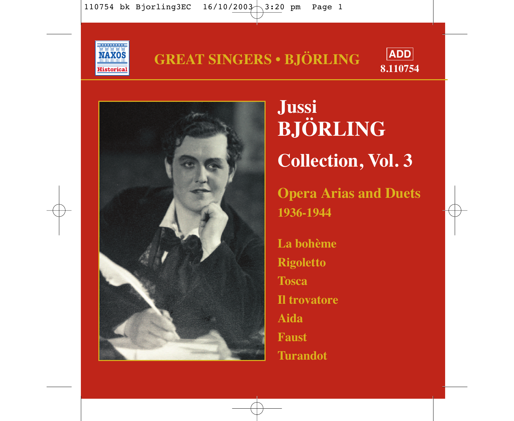





**Jussi BJÖRLING Collection, Vol. 3 Opera Arias and Duets 1936-1944 La bohème Rigoletto Tosca Il trovatore Aida Faust**

**Turandot**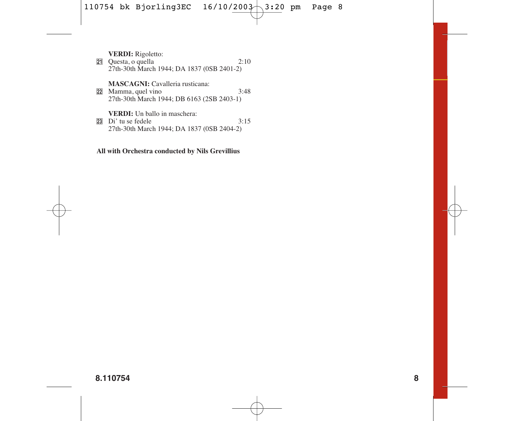**VERDI:** Rigoletto:

**21** Questa, o quella 2:10 27th-30th March 1944; DA 1837 (0SB 2401-2)

**MASCAGNI:** Cavalleria rusticana:

**22** Mamma, quel vino 3:48 27th-30th March 1944; DB 6163 (2SB 2403-1)

**VERDI:** Un ballo in maschera:

 $\overline{23}$  Di' tu se fedele  $3:15$ 27th-30th March 1944; DA 1837 (0SB 2404-2)

#### **All with Orchestra conducted by Nils Grevillius**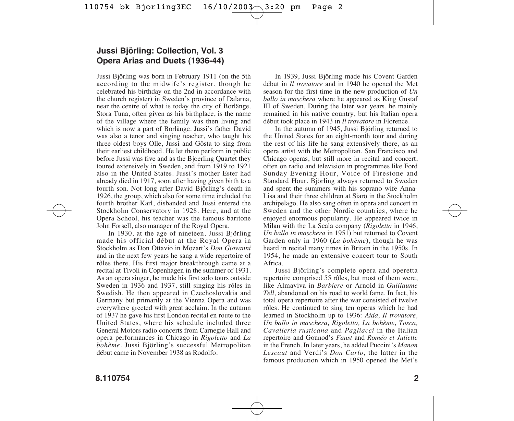#### **Jussi Björling: Collection, Vol. 3 Opera Arias and Duets (1936-44)**

Jussi Björling was born in February 1911 (on the 5th according to the midwife's register, though he celebrated his birthday on the 2nd in accordance with the church register) in Sweden's province of Dalarna, near the centre of what is today the city of Borlänge. Stora Tuna, often given as his birthplace, is the name of the village where the family was then living and which is now a part of Borlänge. Jussi's father David was also a tenor and singing teacher, who taught his three oldest boys Olle, Jussi and Gösta to sing from their earliest childhood. He let them perform in public before Jussi was five and as the Bjoerling Quartet they toured extensively in Sweden, and from 1919 to 1921 also in the United States. Jussi's mother Ester had already died in 1917, soon after having given birth to a fourth son. Not long after David Björling's death in 1926, the group, which also for some time included the fourth brother Karl, disbanded and Jussi entered the Stockholm Conservatory in 1928. Here, and at the Opera School, his teacher was the famous baritone John Forsell, also manager of the Royal Opera.

In 1930, at the age of nineteen, Jussi Björling made his official début at the Royal Opera in Stockholm as Don Ottavio in Mozart's *Don Giovanni* and in the next few years he sang a wide repertoire of rôles there. His first major breakthrough came at a recital at Tivoli in Copenhagen in the summer of 1931. As an opera singer, he made his first solo tours outside Sweden in 1936 and 1937, still singing his rôles in Swedish. He then appeared in Czechoslovakia and Germany but primarily at the Vienna Opera and was everywhere greeted with great acclaim. In the autumn of 1937 he gave his first London recital en route to the United States, where his schedule included three General Motors radio concerts from Carnegie Hall and opera performances in Chicago in *Rigoletto* and *La bohème.* Jussi Björling's successful Metropolitan début came in November 1938 as Rodolfo.

In 1939, Jussi Björling made his Covent Garden début in *Il trovatore* and in 1940 he opened the Met season for the first time in the new production of *Un ballo in maschera* where he appeared as King Gustaf III of Sweden. During the later war years, he mainly remained in his native country, but his Italian opera début took place in 1943 in *Il trovatore* in Florence.

In the autumn of 1945, Jussi Björling returned to the United States for an eight-month tour and during the rest of his life he sang extensively there, as an opera artist with the Metropolitan, San Francisco and Chicago operas, but still more in recital and concert, often on radio and television in programmes like Ford Sunday Evening Hour, Voice of Firestone and Standard Hour. Björling always returned to Sweden and spent the summers with his soprano wife Anna-Lisa and their three children at Siarö in the Stockholm archipelago. He also sang often in opera and concert in Sweden and the other Nordic countries, where he enjoyed enormous popularity. He appeared twice in Milan with the La Scala company (*Rigoletto* in 1946, *Un ballo in maschera* in 1951) but returned to Covent Garden only in 1960 (*La bohème*), though he was heard in recital many times in Britain in the 1950s. In 1954, he made an extensive concert tour to South Africa.

Jussi Björling's complete opera and operetta repertoire comprised 55 rôles, but most of them were, like Almaviva in *Barbiere* or Arnold in *Guillaume Tell,* abandoned on his road to world fame. In fact, his total opera repertoire after the war consisted of twelve rôles. He continued to sing ten operas which he had learned in Stockholm up to 1936: *Aida, Il trovatore, Un ballo in maschera, Rigoletto, La bohème, Tosca, Cavalleria rusticana* and *Pagliacci* in the Italian repertoire and Gounod's *Faust* and *Roméo et Juliette* in the French. In later years, he added Puccini's *Manon Lescaut* and Verdi's *Don Carlo,* the latter in the famous production which in 1950 opened the Met's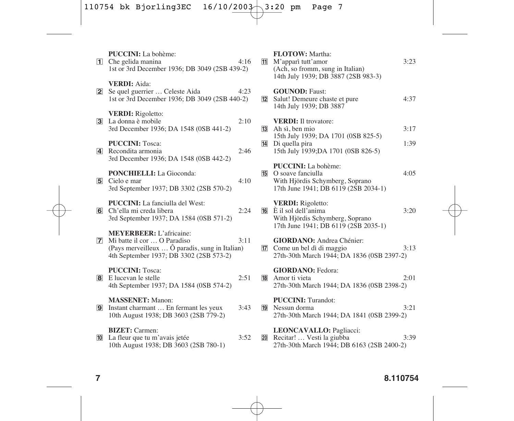|                 | PUCCINI: La bohème:<br>1 Che gelida manina<br>1st or 3rd December 1936; DB 3049 (2SB 439-2)                                                                   | 4:16 |    | FLOTOW: Martha:<br>11 M'apparì tutt'amor<br>(Ach, so fromm, sung in Italian)<br>14th July 1939; DB 3887 (2SB 983-3)                                | 3:23 |
|-----------------|---------------------------------------------------------------------------------------------------------------------------------------------------------------|------|----|----------------------------------------------------------------------------------------------------------------------------------------------------|------|
|                 | <b>VERDI:</b> Aida:<br>2 Se quel guerrier  Celeste Aida<br>1st or 3rd December 1936; DB 3049 (2SB 440-2)                                                      | 4:23 | 12 | <b>GOUNOD: Faust:</b><br>Salut! Demeure chaste et pure<br>14th July 1939; DB 3887                                                                  | 4:37 |
|                 | <b>VERDI:</b> Rigoletto:<br>3 La donna è mobile<br>3rd December 1936; DA 1548 (0SB 441-2)                                                                     | 2:10 |    | <b>VERDI:</b> Il trovatore:<br>$13$ Ah sì, ben mio                                                                                                 | 3:17 |
|                 | <b>PUCCINI: Tosca:</b><br>4 Recondita armonia<br>3rd December 1936; DA 1548 (0SB 442-2)                                                                       | 2:46 | 14 | 15th July 1939; DA 1701 (0SB 825-5)<br>Di quella pira<br>15th July 1939; DA 1701 (0SB 826-5)                                                       | 1:39 |
|                 | <b>PONCHIELLI:</b> La Gioconda:<br>5 Cielo e mar<br>3rd September 1937; DB 3302 (2SB 570-2)                                                                   | 4:10 |    | <b>PUCCINI:</b> La bohème:<br><b>15</b> O soave fanciulla<br>With Hjördis Schymberg, Soprano<br>17th June 1941; DB 6119 (2SB 2034-1)               | 4:05 |
|                 | <b>PUCCINI:</b> La fanciulla del West:<br>6 Ch'ella mi creda libera<br>3rd September 1937; DA 1584 (0SB 571-2)                                                | 2:24 |    | <b>VERDI:</b> Rigoletto:<br>$\overline{16}$ $\hat{E}$ il sol dell'anima<br>With Hjördis Schymberg, Soprano<br>17th June 1941; DB 6119 (2SB 2035-1) | 3:20 |
|                 | <b>MEYERBEER</b> : L'africaine:<br>7 Mi batte il cor  O Paradiso<br>(Pays merveilleux  Ô paradis, sung in Italian)<br>4th September 1937; DB 3302 (2SB 573-2) | 3:11 |    | <b>GIORDANO</b> : Andrea Chénier:<br><b>17</b> Come un bel dì di maggio<br>27th-30th March 1944; DA 1836 (0SB 2397-2)                              | 3:13 |
|                 | <b>PUCCINI: Tosca:</b><br><b>8</b> E lucevan le stelle<br>4th September 1937; DA 1584 (0SB 574-2)                                                             | 2:51 |    | <b>GIORDANO</b> : Fedora:<br><b>18</b> Amor ti vieta<br>27th-30th March 1944; DA 1836 (0SB 2398-2)                                                 | 2:01 |
|                 | <b>MASSENET:</b> Manon:<br><b>9</b> Instant charmant  En fermant les yeux<br>10th August 1938; DB 3603 (2SB 779-2)                                            | 3:43 |    | <b>PUCCINI:</b> Turandot:<br><b>19</b> Nessun dorma<br>27th-30th March 1944; DA 1841 (0SB 2399-2)                                                  | 3:21 |
| 10 <sup>1</sup> | <b>BIZET:</b> Carmen:<br>La fleur que tu m'avais jetée<br>10th August 1938; DB 3603 (2SB 780-1)                                                               | 3:52 | 20 | LEONCAVALLO: Pagliacci:<br>Recitar!  Vesti la giubba<br>27th-30th March 1944; DB 6163 (2SB 2400-2)                                                 | 3:39 |
|                 |                                                                                                                                                               |      |    |                                                                                                                                                    |      |

### **7 8.110754**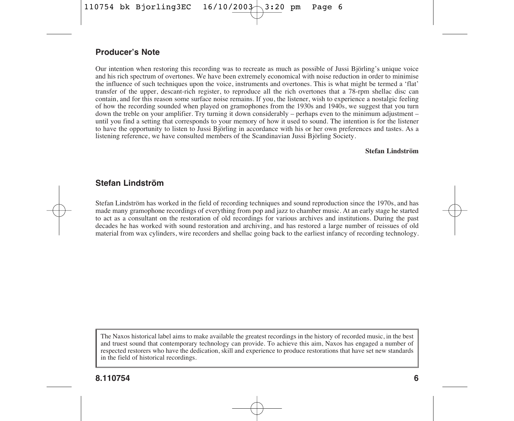#### **Producer's Note**

Our intention when restoring this recording was to recreate as much as possible of Jussi Björling's unique voice and his rich spectrum of overtones. We have been extremely economical with noise reduction in order to minimise the influence of such techniques upon the voice, instruments and overtones. This is what might be termed a 'flat' transfer of the upper, descant-rich register, to reproduce all the rich overtones that a 78-rpm shellac disc can contain, and for this reason some surface noise remains. If you, the listener, wish to experience a nostalgic feeling of how the recording sounded when played on gramophones from the 1930s and 1940s, we suggest that you turn down the treble on your amplifier. Try turning it down considerably – perhaps even to the minimum adjustment – until you find a setting that corresponds to your memory of how it used to sound. The intention is for the listener to have the opportunity to listen to Jussi Björling in accordance with his or her own preferences and tastes. As a listening reference, we have consulted members of the Scandinavian Jussi Björling Society.

#### **Stefan Lindström**

#### **Stefan Lindström**

Stefan Lindström has worked in the field of recording techniques and sound reproduction since the 1970s, and has made many gramophone recordings of everything from pop and jazz to chamber music. At an early stage he started to act as a consultant on the restoration of old recordings for various archives and institutions. During the past decades he has worked with sound restoration and archiving, and has restored a large number of reissues of old material from wax cylinders, wire recorders and shellac going back to the earliest infancy of recording technology.

The Naxos historical label aims to make available the greatest recordings in the history of recorded music, in the best and truest sound that contemporary technology can provide. To achieve this aim, Naxos has engaged a number of respected restorers who have the dedication, skill and experience to produce restorations that have set new standards in the field of historical recordings.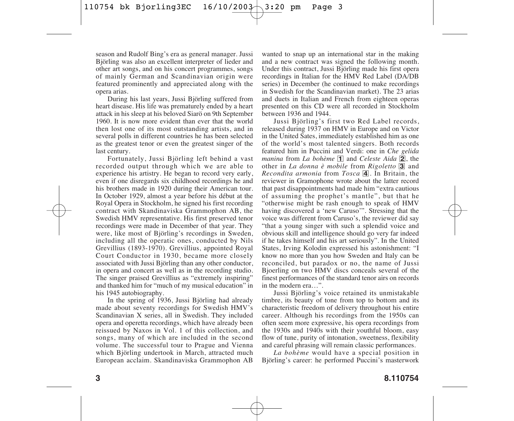season and Rudolf Bing's era as general manager. Jussi Björling was also an excellent interpreter of lieder and other art songs, and on his concert programmes, songs of mainly German and Scandinavian origin were featured prominently and appreciated along with the opera arias.

During his last years, Jussi Björling suffered from heart disease. His life was prematurely ended by a heart attack in his sleep at his beloved Siarö on 9th September 1960. It is now more evident than ever that the world then lost one of its most outstanding artists, and in several polls in different countries he has been selected as the greatest tenor or even the greatest singer of the last century.

Fortunately, Jussi Björling left behind a vast recorded output through which we are able to experience his artistry. He began to record very early, even if one disregards six childhood recordings he and his brothers made in 1920 during their American tour. In October 1929, almost a year before his début at the Royal Opera in Stockholm, he signed his first recording contract with Skandinaviska Grammophon AB, the Swedish HMV representative. His first preserved tenor recordings were made in December of that year. They were, like most of Björling's recordings in Sweden, including all the operatic ones, conducted by Nils Grevillius (1893-1970). Grevillius, appointed Royal Court Conductor in 1930, became more closely associated with Jussi Björling than any other conductor, in opera and concert as well as in the recording studio. The singer praised Grevillius as "extremely inspiring" and thanked him for "much of my musical education" in his 1945 autobiography.

In the spring of 1936, Jussi Björling had already made about seventy recordings for Swedish HMV's Scandinavian X series, all in Swedish. They included opera and operetta recordings, which have already been reissued by Naxos in Vol. 1 of this collection, and songs, many of which are included in the second volume. The successful tour to Prague and Vienna which Björling undertook in March, attracted much European acclaim. Skandinaviska Grammophon AB

wanted to snap up an international star in the making and a new contract was signed the following month. Under this contract, Jussi Björling made his first opera recordings in Italian for the HMV Red Label (DA/DB series) in December (he continued to make recordings in Swedish for the Scandinavian market). The 23 arias and duets in Italian and French from eighteen operas presented on this CD were all recorded in Stockholm between 1936 and 1944.

Jussi Björling's first two Red Label records, released during 1937 on HMV in Europe and on Victor in the United Sates, immediately established him as one of the world's most talented singers. Both records featured him in Puccini and Verdi: one in *Che gelida manina* from *La bohème* **1** and *Celeste Aida* **2**, the other in *La donna è mobile* from *Rigoletto* 3 and *Recondita armonia* from *Tosca* 4. In Britain, the reviewer in Gramophone wrote about the latter record that past disappointments had made him "extra cautious of assuming the prophet's mantle", but that he "otherwise might be rash enough to speak of HMV having discovered a 'new Caruso'". Stressing that the voice was different from Caruso's, the reviewer did say "that a young singer with such a splendid voice and obvious skill and intelligence should go very far indeed if he takes himself and his art seriously". In the United States, Irving Kolodin expressed his astonishment: "I know no more than you how Sweden and Italy can be reconciled, but paradox or no, the name of Jussi Bjoerling on two HMV discs conceals several of the finest performances of the standard tenor airs on records in the modern era…".

Jussi Björling's voice retained its unmistakable timbre, its beauty of tone from top to bottom and its characteristic freedom of delivery throughout his entire career. Although his recordings from the 1950s can often seem more expressive, his opera recordings from the 1930s and 1940s with their youthful bloom, easy flow of tune, purity of intonation, sweetness, flexibility and careful phrasing will remain classic performances.

*La bohème* would have a special position in Björling's career: he performed Puccini's masterwork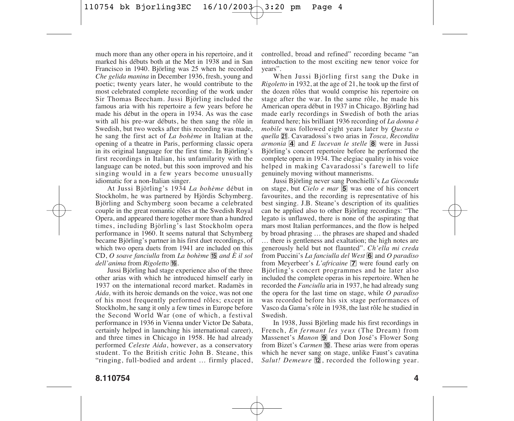much more than any other opera in his repertoire, and it marked his débuts both at the Met in 1938 and in San Francisco in 1940. Björling was 25 when he recorded *Che gelida manina* in December 1936, fresh, young and poetic; twenty years later, he would contribute to the most celebrated complete recording of the work under Sir Thomas Beecham. Jussi Björling included the famous aria with his repertoire a few years before he made his début in the opera in 1934. As was the case with all his pre-war débuts, he then sang the rôle in Swedish, but two weeks after this recording was made, he sang the first act of *La bohème* in Italian at the opening of a theatre in Paris, performing classic opera in its original language for the first time. In Björling's first recordings in Italian, his unfamilarity with the language can be noted, but this soon improved and his singing would in a few years become unusually idiomatic for a non-Italian singer.

At Jussi Björling's 1934 *La bohème* début in Stockholm, he was partnered by Hjördis Schymberg. Björling and Schymberg soon became a celebrated couple in the great romantic rôles at the Swedish Royal Opera, and appeared there together more than a hundred times, including Björling's last Stockholm opera performance in 1960. It seems natural that Schymberg became Björling's partner in his first duet recordings, of which two opera duets from 1941 are included on this CD, *O soave fanciulla* from *La bohème* **15** and  $\dot{E}$  *il sol dell'anima* from *Rigoletto* ^*.*

Jussi Björling had stage experience also of the three other arias with which he introduced himself early in 1937 on the international record market. Radamès in *Aida,* with its heroic demands on the voice, was not one of his most frequently performed rôles; except in Stockholm, he sang it only a few times in Europe before the Second World War (one of which, a festival performance in 1936 in Vienna under Victor De Sabata, certainly helped in launching his international career), and three times in Chicago in 1958. He had already performed *Celeste Aida*, however, as a conservatory student. To the British critic John B. Steane, this "ringing, full-bodied and ardent … firmly placed, controlled, broad and refined" recording became "an introduction to the most exciting new tenor voice for years".

When Jussi Björling first sang the Duke in *Rigoletto* in 1932, at the age of 21, he took up the first of the dozen rôles that would comprise his repertoire on stage after the war. In the same rôle, he made his American opera début in 1937 in Chicago. Björling had made early recordings in Swedish of both the arias featured here; his brilliant 1936 recording of *La donna è mobile* was followed eight years later by *Questa o quella* ¡. Cavaradossi's two arias in *Tosca, Recondita armonia* 4 and *E lucevan le stelle* 8 were in Jussi Björling's concert repertoire before he performed the complete opera in 1934. The elegiac quality in his voice helped in making Cavaradossi's farewell to life genuinely moving without mannerisms.

Jussi Björling never sang Ponchielli's *La Gioconda* on stage, but *Cielo e mar*  $\overline{5}$  was one of his concert favourites, and the recording is representative of his best singing. J.B. Steane's description of its qualities can be applied also to other Björling recordings: "The legato is unflawed, there is none of the aspirating that mars most Italian performances, and the flow is helped by broad phrasing … the phrases are shaped and shaded … there is gentleness and exaltation; the high notes are generously held but not flaunted". *Ch'ella mi creda* from Puccini's *La fanciulla del West* 6 and *O paradiso* from Meyerbeer's *L'africaine* **7** were found early on Björling's concert programmes and he later also included the complete operas in his repertoire. When he recorded the *Fanciulla* aria in 1937, he had already sung the opera for the last time on stage, while *O paradiso* was recorded before his six stage performances of Vasco da Gama's rôle in 1938, the last rôle he studied in Swedish.

In 1938, Jussi Björling made his first recordings in French, *En fermant les yeux* (The Dream) from Massenet's *Manon* **9** and Don José's Flower Song from Bizet's *Carmen* **10**. These arias were from operas which he never sang on stage, unlike Faust's cavatina *Salut! Demeure*  $\overline{12}$ , recorded the following year.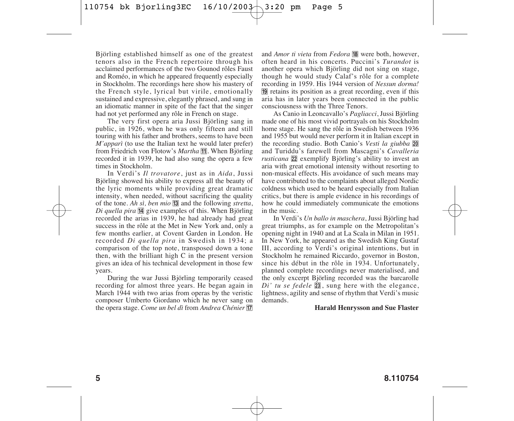Björling established himself as one of the greatest tenors also in the French repertoire through his acclaimed performances of the two Gounod rôles Faust and Roméo, in which he appeared frequently especially in Stockholm. The recordings here show his mastery of the French style, lyrical but virile, emotionally sustained and expressive, elegantly phrased, and sung in an idiomatic manner in spite of the fact that the singer had not yet performed any rôle in French on stage.

The very first opera aria Jussi Björling sang in public, in 1926, when he was only fifteen and still touring with his father and brothers, seems to have been *M'apparì* (to use the Italian text he would later prefer) from Friedrich von Flotow's *Martha* **11**. When Björling recorded it in 1939, he had also sung the opera a few times in Stockholm.

In Verdi's *Il trovatore*, just as in *Aida*, Jussi Björling showed his ability to express all the beauty of the lyric moments while providing great dramatic intensity, when needed, without sacrificing the quality of the tone. *Ah sì, ben mio* **13** and the following *stretta*, *Di quella pira*  $\overline{14}$  give examples of this. When Björling recorded the arias in 1939, he had already had great success in the rôle at the Met in New York and, only a few months earlier, at Covent Garden in London. He recorded *Di quella pira* in Swedish in 1934; a comparison of the top note, transposed down a tone then, with the brilliant high C in the present version gives an idea of his technical development in those few years.

During the war Jussi Björling temporarily ceased recording for almost three years. He began again in March 1944 with two arias from operas by the veristic composer Umberto Giordano which he never sang on the opera stage. *Come un bel dì* from *Andrea Chénier* <sup>[7]</sup>

and *Amor ti vieta* from *Fedora* <sup>18</sup> were both, however, often heard in his concerts. Puccini's *Turandot* is another opera which Björling did not sing on stage, though he would study Calaf's rôle for a complete recording in 1959. His 1944 version of *Nessun dorma!* ( retains its position as a great recording, even if this aria has in later years been connected in the public consciousness with the Three Tenors.

As Canio in Leoncavallo's *Pagliacci*, Jussi Björling made one of his most vivid portrayals on his Stockholm home stage. He sang the rôle in Swedish between 1936 and 1955 but would never perform it in Italian except in the recording studio. Both Canio's *Vesti la giubba* 20 and Turiddu's farewell from Mascagni's *Cavalleria rusticana* 22 exemplify Björling's ability to invest an aria with great emotional intensity without resorting to non-musical effects. His avoidance of such means may have contributed to the complaints about alleged Nordic coldness which used to be heard especially from Italian critics, but there is ample evidence in his recordings of how he could immediately communicate the emotions in the music.

In Verdi's *Un ballo in maschera*, Jussi Björling had great triumphs, as for example on the Metropolitan's opening night in 1940 and at La Scala in Milan in 1951. In New York, he appeared as the Swedish King Gustaf III, according to Verdi's original intentions, but in Stockholm he remained Riccardo, governor in Boston, since his début in the rôle in 1934. Unfortunately, planned complete recordings never materialised, and the only excerpt Björling recorded was the barcarolle *Di' tu se fedele* 23, sung here with the elegance, lightness, agility and sense of rhythm that Verdi's music demands.

#### **Harald Henrysson and Sue Flaster**